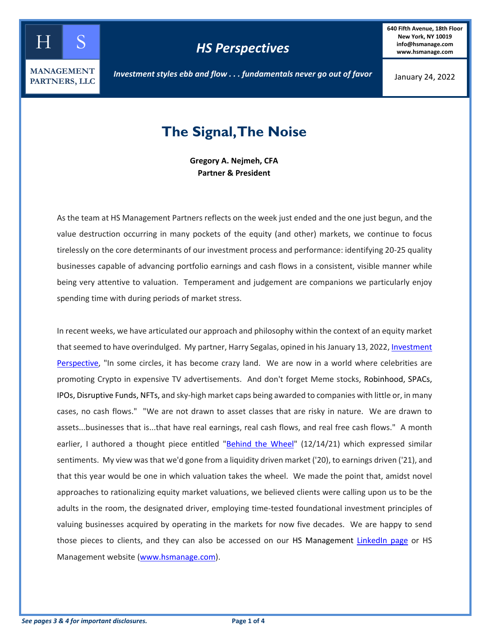

**640 Fifth Avenue, 18th Floor New York, NY 10019 info@hsmanage.com www.hsmanage.com**

January 24, 2022

## **The Signal, The Noise**

**Gregory A. Nejmeh, CFA Partner & President**

As the team at HS Management Partners reflects on the week just ended and the one just begun, and the value destruction occurring in many pockets of the equity (and other) markets, we continue to focus tirelessly on the core determinants of our investment process and performance: identifying 20-25 quality businesses capable of advancing portfolio earnings and cash flows in a consistent, visible manner while being very attentive to valuation. Temperament and judgement are companions we particularly enjoy spending time with during periods of market stress.

In recent weeks, we have articulated our approach and philosophy within the context of an equity market that seemed to have overindulged. My partner, Harry Segalas, opined in his January 13, 2022, Investment [Perspective,](https://www.hsmanage.com/fourth-quarter-2021-investment-perspective/) "In some circles, it has become crazy land. We are now in a world where celebrities are promoting Crypto in expensive TV advertisements. And don't forget Meme stocks, Robinhood, SPACs, IPOs, Disruptive Funds, NFTs, and sky-high market caps being awarded to companies with little or, in many cases, no cash flows." "We are not drawn to asset classes that are risky in nature. We are drawn to assets...businesses that is...that have real earnings, real cash flows, and real free cash flows." A month earlier, I authored a thought piece entitled ["Behind the Wheel"](https://www.hsmanage.com/behind-the-wheel/) (12/14/21) which expressed similar sentiments. My view was that we'd gone from a liquidity driven market ('20), to earnings driven ('21), and that this year would be one in which valuation takes the wheel. We made the point that, amidst novel approaches to rationalizing equity market valuations, we believed clients were calling upon us to be the adults in the room, the designated driver, employing time-tested foundational investment principles of valuing businesses acquired by operating in the markets for now five decades. We are happy to send those pieces to clients, and they can also be accessed on our HS Management [LinkedIn page](https://www.linkedin.com/company/hs-management-partners-llc/posts/?feedView=all&viewAsMember=true) or HS Management website [\(www.hsmanage.com\)](http://www.hsmanage.com/).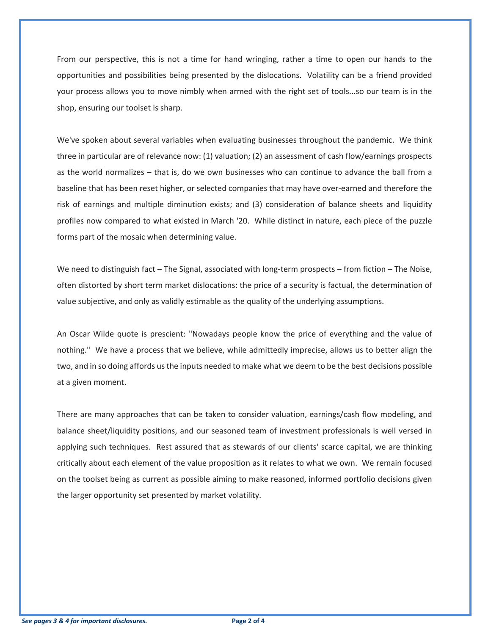From our perspective, this is not a time for hand wringing, rather a time to open our hands to the opportunities and possibilities being presented by the dislocations. Volatility can be a friend provided your process allows you to move nimbly when armed with the right set of tools...so our team is in the shop, ensuring our toolset is sharp.

We've spoken about several variables when evaluating businesses throughout the pandemic. We think three in particular are of relevance now: (1) valuation; (2) an assessment of cash flow/earnings prospects as the world normalizes – that is, do we own businesses who can continue to advance the ball from a baseline that has been reset higher, or selected companies that may have over-earned and therefore the risk of earnings and multiple diminution exists; and (3) consideration of balance sheets and liquidity profiles now compared to what existed in March '20. While distinct in nature, each piece of the puzzle forms part of the mosaic when determining value.

We need to distinguish fact – The Signal, associated with long-term prospects – from fiction – The Noise, often distorted by short term market dislocations: the price of a security is factual, the determination of value subjective, and only as validly estimable as the quality of the underlying assumptions.

An Oscar Wilde quote is prescient: "Nowadays people know the price of everything and the value of nothing." We have a process that we believe, while admittedly imprecise, allows us to better align the two, and in so doing affords usthe inputs needed to make what we deem to be the best decisions possible at a given moment.

There are many approaches that can be taken to consider valuation, earnings/cash flow modeling, and balance sheet/liquidity positions, and our seasoned team of investment professionals is well versed in applying such techniques. Rest assured that as stewards of our clients' scarce capital, we are thinking critically about each element of the value proposition as it relates to what we own. We remain focused on the toolset being as current as possible aiming to make reasoned, informed portfolio decisions given the larger opportunity set presented by market volatility.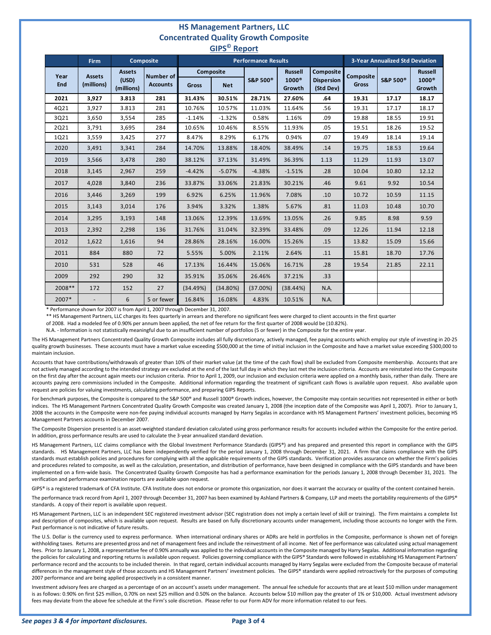## **HS Management Partners, LLC Concentrated Quality Growth Composite GIPS© Report**

| יי ש<br>$\cdots \cdots$ |                             |                                      |                                     |                            |            |                     |                                          |                                             |                                        |                     |                                          |
|-------------------------|-----------------------------|--------------------------------------|-------------------------------------|----------------------------|------------|---------------------|------------------------------------------|---------------------------------------------|----------------------------------------|---------------------|------------------------------------------|
|                         | <b>Firm</b>                 |                                      | <b>Composite</b>                    | <b>Performance Results</b> |            |                     |                                          |                                             | <b>3-Year Annualized Std Deviation</b> |                     |                                          |
| Year<br>End             | <b>Assets</b><br>(millions) | <b>Assets</b><br>(USD)<br>(millions) | <b>Number of</b><br><b>Accounts</b> | Composite<br>Gross         | <b>Net</b> | <b>S&amp;P 500®</b> | <b>Russell</b><br>$1000^\circ$<br>Growth | Composite<br><b>Dispersion</b><br>(Std Dev) | Composite<br><b>Gross</b>              | <b>S&amp;P 500®</b> | <b>Russell</b><br>$1000^\circ$<br>Growth |
| 2021                    | 3,927                       | 3.813                                | 281                                 | 31.43%                     | 30.51%     | 28.71%              | 27.60%                                   | .64                                         | 19.31                                  | 17.17               | 18.17                                    |
| 4Q21                    | 3,927                       | 3.813                                | 281                                 | 10.76%                     | 10.57%     | 11.03%              | 11.64%                                   | .56                                         | 19.31                                  | 17.17               | 18.17                                    |
| 3Q21                    | 3,650                       | 3,554                                | 285                                 | $-1.14%$                   | $-1.32%$   | 0.58%               | 1.16%                                    | .09                                         | 19.88                                  | 18.55               | 19.91                                    |
| 2Q21                    | 3,791                       | 3,695                                | 284                                 | 10.65%                     | 10.46%     | 8.55%               | 11.93%                                   | .05                                         | 19.51                                  | 18.26               | 19.52                                    |
| 1Q21                    | 3,559                       | 3,425                                | 277                                 | 8.47%                      | 8.29%      | 6.17%               | 0.94%                                    | .07                                         | 19.49                                  | 18.14               | 19.14                                    |
| 2020                    | 3,491                       | 3,341                                | 284                                 | 14.70%                     | 13.88%     | 18.40%              | 38.49%                                   | .14                                         | 19.75                                  | 18.53               | 19.64                                    |
| 2019                    | 3,566                       | 3,478                                | 280                                 | 38.12%                     | 37.13%     | 31.49%              | 36.39%                                   | 1.13                                        | 11.29                                  | 11.93               | 13.07                                    |
| 2018                    | 3,145                       | 2,967                                | 259                                 | $-4.42%$                   | $-5.07%$   | $-4.38%$            | $-1.51%$                                 | .28                                         | 10.04                                  | 10.80               | 12.12                                    |
| 2017                    | 4,028                       | 3,840                                | 236                                 | 33.87%                     | 33.06%     | 21.83%              | 30.21%                                   | .46                                         | 9.61                                   | 9.92                | 10.54                                    |
| 2016                    | 3,446                       | 3,269                                | 199                                 | 6.92%                      | 6.25%      | 11.96%              | 7.08%                                    | .10                                         | 10.72                                  | 10.59               | 11.15                                    |
| 2015                    | 3,143                       | 3,014                                | 176                                 | 3.94%                      | 3.32%      | 1.38%               | 5.67%                                    | .81                                         | 11.03                                  | 10.48               | 10.70                                    |
| 2014                    | 3,295                       | 3,193                                | 148                                 | 13.06%                     | 12.39%     | 13.69%              | 13.05%                                   | .26                                         | 9.85                                   | 8.98                | 9.59                                     |
| 2013                    | 2,392                       | 2,298                                | 136                                 | 31.76%                     | 31.04%     | 32.39%              | 33.48%                                   | .09                                         | 12.26                                  | 11.94               | 12.18                                    |
| 2012                    | 1,622                       | 1,616                                | 94                                  | 28.86%                     | 28.16%     | 16.00%              | 15.26%                                   | .15                                         | 13.82                                  | 15.09               | 15.66                                    |
| 2011                    | 884                         | 880                                  | 72                                  | 5.55%                      | 5.00%      | 2.11%               | 2.64%                                    | .11                                         | 15.81                                  | 18.70               | 17.76                                    |
| 2010                    | 531                         | 528                                  | 46                                  | 17.13%                     | 16.44%     | 15.06%              | 16.71%                                   | .28                                         | 19.54                                  | 21.85               | 22.11                                    |
| 2009                    | 292                         | 290                                  | 32                                  | 35.91%                     | 35.06%     | 26.46%              | 37.21%                                   | .33                                         |                                        |                     |                                          |
| 2008**                  | 172                         | 152                                  | 27                                  | (34.49%)                   | (34.80%)   | (37.00%)            | (38.44%)                                 | N.A.                                        |                                        |                     |                                          |
| 2007*                   |                             | 6                                    | 5 or fewer                          | 16.84%                     | 16.08%     | 4.83%               | 10.51%                                   | N.A.                                        |                                        |                     |                                          |

\* Performance shown for 2007 is from April 1, 2007 through December 31, 2007.

\*\* HS Management Partners, LLC charges its fees quarterly in arrears and therefore no significant fees were charged to client accounts in the first quarter

of 2008. Had a modeled fee of 0.90% per annum been applied, the net of fee return for the first quarter of 2008 would be (10.82%).

N.A. - Information is not statistically meaningful due to an insufficient number of portfolios (5 or fewer) in the Composite for the entire year.

The HS Management Partners Concentrated Quality Growth Composite includes all fully discretionary, actively managed, fee paying accounts which employ our style of investing in 20-25 quality growth businesses. These accounts must have a market value exceeding \$500,000 at the time of initial inclusion in the Composite and have a market value exceeding \$300,000 to maintain inclusion.

Accounts that have contributions/withdrawals of greater than 10% of their market value (at the time of the cash flow) shall be excluded from Composite membership. Accounts that are not actively managed according to the intended strategy are excluded at the end of the last full day in which they last met the inclusion criteria. Accounts are reinstated into the Composite on the first day after the account again meets our inclusion criteria. Prior to April 1, 2009, our inclusion and exclusion criteria were applied on a monthly basis, rather than daily. There are accounts paying zero commissions included in the Composite. Additional information regarding the treatment of significant cash flows is available upon request. Also available upon request are policies for valuing investments, calculating performance, and preparing GIPS Reports.

For benchmark purposes, the Composite is compared to the S&P 500® and Russell 1000® Growth indices, however, the Composite may contain securities not represented in either or both indices. The HS Management Partners Concentrated Quality Growth Composite was created January 1, 2008 (the inception date of the Composite was April 1, 2007). Prior to January 1, 2008 the accounts in the Composite were non-fee paying individual accounts managed by Harry Segalas in accordance with HS Management Partners' investment policies, becoming HS Management Partners accounts in December 2007.

The Composite Dispersion presented is an asset-weighted standard deviation calculated using gross performance results for accounts included within the Composite for the entire period. In addition, gross performance results are used to calculate the 3-year annualized standard deviation.

HS Management Partners, LLC claims compliance with the Global Investment Performance Standards (GIPS®) and has prepared and presented this report in compliance with the GIPS standards. HS Management Partners, LLC has been independently verified for the period January 1, 2008 through December 31, 2021. A firm that claims compliance with the GIPS standards must establish policies and procedures for complying with all the applicable requirements of the GIPS standards. Verification provides assurance on whether the Firm's policies and procedures related to composite, as well as the calculation, presentation, and distribution of performance, have been designed in compliance with the GIPS standards and have been implemented on a firm-wide basis. The Concentrated Quality Growth Composite has had a performance examination for the periods January 1, 2008 through December 31, 2021. The verification and performance examination reports are available upon request.

GIPS® is a registered trademark of CFA Institute. CFA Institute does not endorse or promote this organization, nor does it warrant the accuracy or quality of the content contained herein.

The performance track record from April 1, 2007 through December 31, 2007 has been examined by Ashland Partners & Company, LLP and meets the portability requirements of the GIPS® standards. A copy of their report is available upon request.

HS Management Partners, LLC is an independent SEC registered investment advisor (SEC registration does not imply a certain level of skill or training). The Firm maintains a complete list and description of composites, which is available upon request. Results are based on fully discretionary accounts under management, including those accounts no longer with the Firm. Past performance is not indicative of future results.

The U.S. Dollar is the currency used to express performance. When international ordinary shares or ADRs are held in portfolios in the Composite, performance is shown net of foreign withholding taxes. Returns are presented gross and net of management fees and include the reinvestment of all income. Net of fee performance was calculated using actual management fees. Prior to January 1, 2008, a representative fee of 0.90% annually was applied to the individual accounts in the Composite managed by Harry Segalas. Additional information regarding the policies for calculating and reporting returns is available upon request. Policies governing compliance with the GIPS® Standards were followed in establishing HS Management Partners' performance record and the accounts to be included therein. In that regard, certain individual accounts managed by Harry Segalas were excluded from the Composite because of material differences in the management style of those accounts and HS Management Partners' investment policies. The GIPS® standards were applied retroactively for the purposes of computing 2007 performance and are being applied prospectively in a consistent manner.

Investment advisory fees are charged as a percentage of on an account's assets under management. The annual fee schedule for accounts that are at least \$10 million under management is as follows: 0.90% on first \$25 million, 0.70% on next \$25 million and 0.50% on the balance. Accounts below \$10 million pay the greater of 1% or \$10,000. Actual investment advisory fees may deviate from the above fee schedule at the Firm's sole discretion. Please refer to our Form ADV for more information related to our fees.